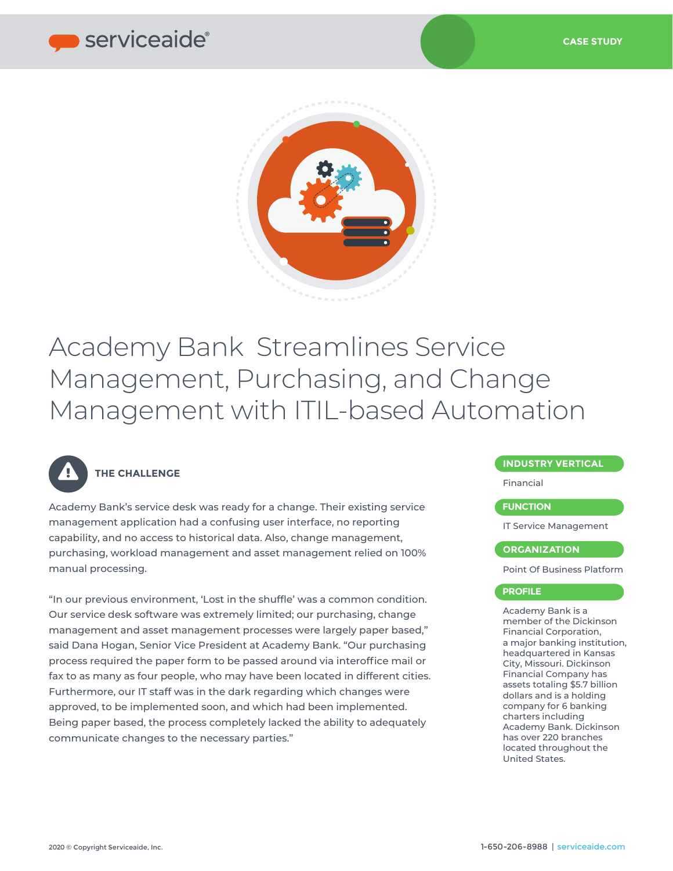

# Academy Bank Streamlines Service Management, Purchasing, and Change Management with ITIL-based Automation



## **THE CHALLENGE**

Academy Bank's service desk was ready for a change. Their existing service management application had a confusing user interface, no reporting capability, and no access to historical data. Also, change management, purchasing, workload management and asset management relied on 100% manual processing.

"In our previous environment, 'Lost in the shuffle' was a common condition. Our service desk software was extremely limited; our purchasing, change management and asset management processes were largely paper based," said Dana Hogan, Senior Vice President at Academy Bank. "Our purchasing process required the paper form to be passed around via interoffice mail or fax to as many as four people, who may have been located in different cities. Furthermore, our IT staff was in the dark regarding which changes were approved, to be implemented soon, and which had been implemented. Being paper based, the process completely lacked the ability to adequately communicate changes to the necessary parties."

### **INDUSTRY VERTICAL**

Financial

### **FUNCTION**

IT Service Management

#### **ORGANIZATION**

Point Of Business Platform

#### **PROFILE**

Academy Bank is a member of the Dickinson Financial Corporation, a major banking institution, headquartered in Kansas City, Missouri. Dickinson Financial Company has assets totaling \$5.7 billion dollars and is a holding company for 6 banking charters including Academy Bank. Dickinson has over 220 branches located throughout the United States.